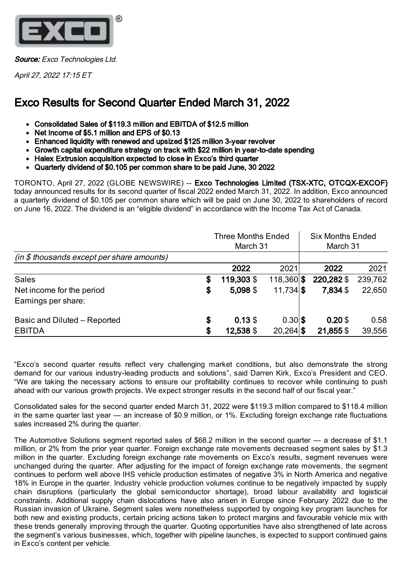

Source: Exco Technologies Ltd.

April 27, 2022 17:15 ET

# Exco Results for Second Quarter Ended March 31, 2022

- Consolidated Sales of \$119.3 million and EBITDA of \$12.5 million
- Net Income of \$5.1 million and EPS of \$0.13
- Enhanced liquidity with renewed and upsized \$125 million 3-year revolver
- Growth capital expenditure strategy on track with \$22 million in year-to-date spending
- Halex Extrusion acquisition expected to close in Exco's third quarter
- Quarterly dividend of \$0.105 per common share to be paid June, 30 2022

TORONTO, April 27, 2022 (GLOBE NEWSWIRE) -- Exco Technologies Limited (TSX-XTC, OTCQX-EXCOF) today announced results for its second quarter of fiscal 2022 ended March 31, 2022. In addition, Exco announced a quarterly dividend of \$0.105 per common share which will be paid on June 30, 2022 to shareholders of record on June 16, 2022. The dividend is an "eligible dividend" in accordance with the Income Tax Act of Canada.

|                                             | <b>Three Months Ended</b><br>March 31 |            |              | <b>Six Months Ended</b><br>March 31 |            |         |
|---------------------------------------------|---------------------------------------|------------|--------------|-------------------------------------|------------|---------|
| $(in $$ thousands except per share amounts) |                                       |            |              |                                     |            |         |
|                                             |                                       | 2022       | 2021         |                                     | 2022       | 2021    |
| <b>Sales</b>                                | S                                     | 119,303 \$ | $118,360$ \$ |                                     | 220,282 \$ | 239,762 |
| Net income for the period                   | \$                                    | 5,098 \$   | $11,734$ \$  |                                     | 7,834 \$   | 22,650  |
| Earnings per share:                         |                                       |            |              |                                     |            |         |
| Basic and Diluted - Reported                | \$                                    | 0.13S      | $0.30$ \$    |                                     | $0.20$ \$  | 0.58    |
| <b>EBITDA</b>                               | S                                     | 12,538 \$  | $20,264$ \$  |                                     | 21,855 \$  | 39,556  |

"Exco's second quarter results reflect very challenging market conditions, but also demonstrate the strong demand for our various industry-leading products and solutions", said Darren Kirk, Exco's President and CEO. "We are taking the necessary actions to ensure our profitability continues to recover while continuing to push ahead with our various growth projects. We expect stronger results in the second half of our fiscal year."

Consolidated sales for the second quarter ended March 31, 2022 were \$119.3 million compared to \$118.4 million in the same quarter last year — an increase of \$0.9 million, or 1%. Excluding foreign exchange rate fluctuations sales increased 2% during the quarter.

The Automotive Solutions segment reported sales of \$68.2 million in the second quarter — a decrease of \$1.1 million, or 2% from the prior year quarter. Foreign exchange rate movements decreased segment sales by \$1.3 million in the quarter. Excluding foreign exchange rate movements on Exco's results, segment revenues were unchanged during the quarter. After adjusting for the impact of foreign exchange rate movements, the segment continues to perform well above IHS vehicle production estimates of negative 3% in North America and negative 18% in Europe in the quarter. Industry vehicle production volumes continue to be negatively impacted by supply chain disruptions (particularly the global semiconductor shortage), broad labour availability and logistical constraints. Additional supply chain dislocations have also arisen in Europe since February 2022 due to the Russian invasion of Ukraine. Segment sales were nonetheless supported by ongoing key program launches for both new and existing products, certain pricing actions taken to protect margins and favourable vehicle mix with these trends generally improving through the quarter. Quoting opportunities have also strengthened of late across the segment's various businesses, which, together with pipeline launches, is expected to support continued gains in Exco's content per vehicle.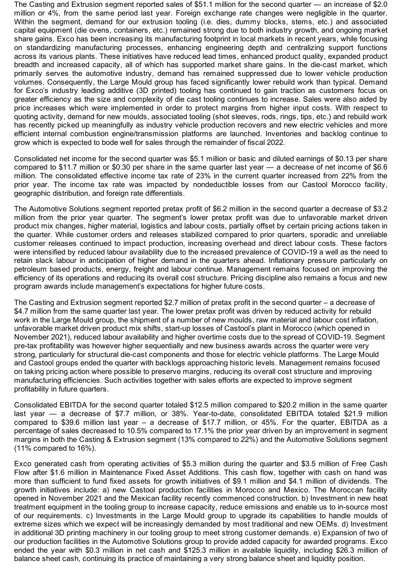The Casting and Extrusion segment reported sales of \$51.1 million for the second quarter — an increase of \$2.0 million or 4%, from the same period last year. Foreign exchange rate changes were negligible in the quarter. Within the segment, demand for our extrusion tooling (i.e. dies, dummy blocks, stems, etc.) and associated capital equipment (die ovens, containers, etc.) remained strong due to both industry growth, and ongoing market share gains. Exco has been increasing its manufacturing footprint in local markets in recent years, while focusing on standardizing manufacturing processes, enhancing engineering depth and centralizing support functions across its various plants. These initiatives have reduced lead times, enhanced product quality, expanded product breadth and increased capacity, all of which has supported market share gains. In the die-cast market, which primarily serves the automotive industry, demand has remained suppressed due to lower vehicle production volumes. Consequently, the Large Mould group has faced significantly lower rebuild work than typical. Demand for Exco's industry leading additive (3D printed) tooling has continued to gain traction as customers focus on greater efficiency as the size and complexity of die cast tooling continues to increase. Sales were also aided by price increases which were implemented in order to protect margins from higher input costs. With respect to quoting activity, demand for new moulds, associated tooling (shot sleeves, rods, rings, tips, etc.) and rebuild work has recently picked up meaningfully as industry vehicle production recovers and new electric vehicles and more efficient internal combustion engine/transmission platforms are launched. Inventories and backlog continue to grow which is expected to bode well for sales through the remainder of fiscal 2022.

Consolidated net income for the second quarter was \$5.1 million or basic and diluted earnings of \$0.13 per share compared to \$11.7 million or \$0.30 per share in the same quarter last year — a decrease of net income of \$6.6 million. The consolidated effective income tax rate of 23% in the current quarter increased from 22% from the prior year. The income tax rate was impacted by nondeductible losses from our Castool Morocco facility, geographic distribution, and foreign rate differentials.

The Automotive Solutions segment reported pretax profit of \$6.2 million in the second quarter a decrease of \$3.2 million from the prior year quarter. The segment's lower pretax profit was due to unfavorable market driven product mix changes, higher material, logistics and labour costs, partially offset by certain pricing actions taken in the quarter. While customer orders and releases stabilized compared to prior quarters, sporadic and unreliable customer releases continued to impact production, increasing overhead and direct labour costs. These factors were intensified by reduced labour availability due to the increased prevalence of COVID-19 a well as the need to retain slack labour in anticipation of higher demand in the quarters ahead. Inflationary pressure particularly on petroleum based products, energy, freight and labour continue. Management remains focused on improving the efficiency of its operations and reducing its overall cost structure. Pricing discipline also remains a focus and new program awards include management's expectations for higher future costs.

The Casting and Extrusion segment reported \$2.7 million of pretax profit in the second quarter – a decrease of \$4.7 million from the same quarter last year. The lower pretax profit was driven by reduced activity for rebuild work in the Large Mould group, the shipment of a number of new moulds, raw material and labour cost inflation, unfavorable market driven product mix shifts, start-up losses of Castool's plant in Morocco (which opened in November 2021), reduced labour availability and higher overtime costs due to the spread of COVID-19. Segment pre-tax profitability was however higher sequentially and new business awards across the quarter were very strong, particularly for structural die-cast components and those for electric vehicle platforms. The Large Mould and Castool groups ended the quarter with backlogs approaching historic levels. Management remains focused on taking pricing action where possible to preserve margins, reducing its overall cost structure and improving manufacturing efficiencies. Such activities together with sales efforts are expected to improve segment profitability in future quarters.

Consolidated EBITDA for the second quarter totaled \$12.5 million compared to \$20.2 million in the same quarter last year — a decrease of \$7.7 million, or 38%. Year-to-date, consolidated EBITDA totaled \$21.9 million compared to \$39.6 million last year – a decrease of \$17.7 million, or 45%. For the quarter, EBITDA as a percentage of sales decreased to 10.5% compared to 17.1% the prior year driven by an improvement in segment margins in both the Casting & Extrusion segment (13% compared to 22%) and the Automotive Solutions segment (11% compared to 16%).

Exco generated cash from operating activities of \$5.3 million during the quarter and \$3.5 million of Free Cash Flow after \$1.6 million in Maintenance Fixed Asset Additions. This cash flow, together with cash on hand was more than sufficient to fund fixed assets for growth initiatives of \$9.1 million and \$4.1 million of dividends. The growth initiatives include: a) new Castool production facilities in Morocco and Mexico. The Moroccan facility opened in November 2021 and the Mexican facility recently commenced construction. b) Investment in new heat treatment equipment in the tooling group to increase capacity, reduce emissions and enable us to in-source most of our requirements. c) Investments in the Large Mould group to upgrade its capabilities to handle moulds of extreme sizes which we expect will be increasingly demanded by most traditional and new OEMs. d) Investment in additional 3D printing machinery in our tooling group to meet strong customer demands. e) Expansion of two of our production facilities in the Automotive Solutions group to provide added capacity for awarded programs. Exco ended the year with \$0.3 million in net cash and \$125.3 million in available liquidity, including \$26.3 million of balance sheet cash, continuing its practice of maintaining a very strong balance sheet and liquidity position.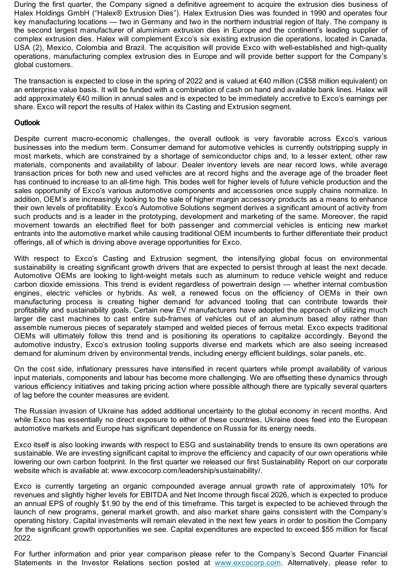During the first quarter, the Company signed a definitive agreement to acquire the extrusion dies business of Halex Holdings GmbH ("Halex® Extrusion Dies"). Halex Extrusion Dies was founded in 1990 and operates four key manufacturing locations — two in Germany and two in the northern industrial region of Italy. The company is the second largest manufacturer of aluminium extrusion dies in Europe and the continent's leading supplier of complex extrusion dies. Halex will complement Exco's six existing extrusion die operations, located in Canada, USA (2), Mexico, Colombia and Brazil. The acquisition will provide Exco with well-established and high-quality operations, manufacturing complex extrusion dies in Europe and will provide better support for the Company's global customers.

The transaction is expected to close in the spring of 2022 and is valued at  $\epsilon$ 40 million (C\$58 million equivalent) on an enterprise value basis. It will be funded with a combination of cash on hand and available bank lines. Halex will add approximately €40 million in annual sales and is expected to be immediately accretive to Exco's earnings per share. Exco will report the results of Halex within its Casting and Extrusion segment.

## **Outlook**

Despite current macro-economic challenges, the overall outlook is very favorable across Exco's various businesses into the medium term. Consumer demand for automotive vehicles is currently outstripping supply in most markets, which are constrained by a shortage of semiconductor chips and, to a lesser extent, other raw materials, components and availability of labour. Dealer inventory levels are near record lows, while average transaction prices for both new and used vehicles are at record highs and the average age of the broader fleet has continued to increase to an all-time high. This bodes well for higher levels of future vehicle production and the sales opportunity of Exco's various automotive components and accessories once supply chains normalize. In addition, OEM's are increasingly looking to the sale of higher margin accessory products as a means to enhance their own levels of profitability. Exco's Automotive Solutions segment derives a significant amount of activity from such products and is a leader in the prototyping, development and marketing of the same. Moreover, the rapid movement towards an electrified fleet for both passenger and commercial vehicles is enticing new market entrants into the automotive market while causing traditional OEM incumbents to further differentiate their product offerings, all of which is driving above average opportunities for Exco.

With respect to Exco's Casting and Extrusion segment, the intensifying global focus on environmental sustainability is creating significant growth drivers that are expected to persist through at least the next decade. Automotive OEMs are looking to light-weight metals such as aluminum to reduce vehicle weight and reduce carbon dioxide emissions. This trend is evident regardless of powertrain design — whether internal combustion engines, electric vehicles or hybrids. As well, a renewed focus on the efficiency of OEMs in their own manufacturing process is creating higher demand for advanced tooling that can contribute towards their profitability and sustainability goals. Certain new EV manufacturers have adopted the approach of utilizing much larger die cast machines to cast entire sub-frames of vehicles out of an aluminum based alloy rather than assemble numerous pieces of separately stamped and welded pieces of ferrous metal. Exco expects traditional OEMs will ultimately follow this trend and is positioning its operations to capitalize accordingly. Beyond the automotive industry, Exco's extrusion tooling supports diverse end markets which are also seeing increased demand for aluminum driven by environmental trends, including energy efficient buildings, solar panels, etc.

On the cost side, inflationary pressures have intensified in recent quarters while prompt availability of various input materials, components and labour has become more challenging. We are offsetting these dynamics through various efficiency initiatives and taking pricing action where possible although there are typically several quarters of lag before the counter measures are evident.

The Russian invasion of Ukraine has added additional uncertainty to the global economy in recent months. And while Exco has essentially no direct exposure to either of these countries, Ukraine does feed into the European automotive markets and Europe has significant dependence on Russia for its energy needs.

Exco itself is also looking inwards with respect to ESG and sustainability trends to ensure its own operations are sustainable. We are investing significant capital to improve the efficiency and capacity of our own operations while lowering our own carbon footprint. In the first quarter we released our first Sustainability Report on our corporate website which is available at: www.excocorp.com/leadership/sustainability/.

Exco is currently targeting an organic compounded average annual growth rate of approximately 10% for revenues and slightly higher levels for EBITDA and Net Income through fiscal 2026, which is expected to produce an annual EPS of roughly \$1.90 by the end of this timeframe. This target is expected to be achieved through the launch of new programs, general market growth, and also market share gains consistent with the Company's operating history. Capital investments will remain elevated in the next few years in order to position the Company for the significant growth opportunities we see. Capital expenditures are expected to exceed \$55 million for fiscal 2022.

For further information and prior year comparison please refer to the Company's Second Quarter Financial Statements in the Investor Relations section posted at [www.excocorp.com](https://www.globenewswire.com/Tracker?data=iedX-WIaR1XqOva02V7IpSBULLCi3DZXoMjkEnaw1vDrBHDHZ3yrMy8f2oRiWdLWcIWAALe2Qha-dF4Hoxc6qA==). Alternatively, please refer to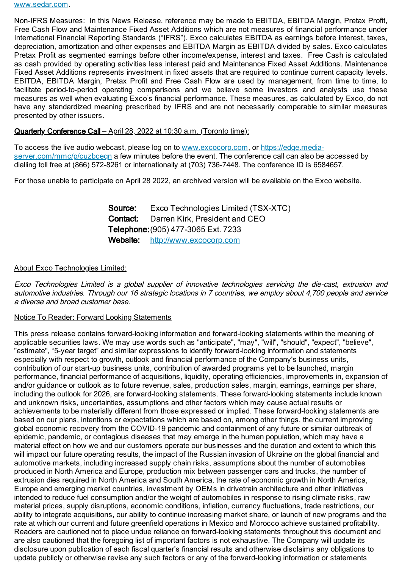Non-IFRS Measures: In this News Release, reference may be made to EBITDA, EBITDA Margin, Pretax Profit, Free Cash Flow and Maintenance Fixed Asset Additions which are not measures of financial performance under International Financial Reporting Standards ("IFRS"). Exco calculates EBITDA as earnings before interest, taxes, depreciation, amortization and other expenses and EBITDA Margin as EBITDA divided by sales. Exco calculates Pretax Profit as segmented earnings before other income/expense, interest and taxes. Free Cash is calculated as cash provided by operating activities less interest paid and Maintenance Fixed Asset Additions. Maintenance Fixed Asset Additions represents investment in fixed assets that are required to continue current capacity levels. EBITDA, EBITDA Margin, Pretax Profit and Free Cash Flow are used by management, from time to time, to facilitate period-to-period operating comparisons and we believe some investors and analysts use these measures as well when evaluating Exco's financial performance. These measures, as calculated by Exco, do not have any standardized meaning prescribed by IFRS and are not necessarily comparable to similar measures presented by other issuers.

### Quarterly Conference Call – April 28, 2022 at 10:30 a.m. (Toronto time):

To access the live audio webcast, please log on to [www.excocorp.com,](https://www.globenewswire.com/Tracker?data=iedX-WIaR1XqOva02V7Ipa11OEQRX8Nc096K1CfLGaZdkIm6XCUHaSLrp9tIAspWtYZPutbQnoHBw2Ko_ulZoA==) or https://edge.mediaserver.com/mmc/p/cuzbcegn a few minutes before the event. The conference call can also be accessed by dialling toll free at (866) 572-8261 or internationally at (703) 736-7448. The conference ID is 6584657.

For those unable to participate on April 28 2022, an archived version will be available on the Exco website.

Source: Exco Technologies Limited (TSX-XTC) Contact: Darren Kirk, President and CEO Telephone:(905) 477-3065 Ext. 7233 Website: [http://www.excocorp.com](https://www.globenewswire.com/Tracker?data=tDL3oL7NSDdlB1QDqneyjLAsjic8ZXvF8jJORnfGuy3VXnhJHQWxXJ5V91J9k9Jdz1jBAse5S1YB0pc2GHiKIw==)

#### About Exco Technologies Limited:

Exco Technologies Limited is <sup>a</sup> global supplier of innovative technologies servicing the die-cast, extrusion and automotive industries. Through our 16 strategic locations in 7 countries, we employ about 4,700 people and service a diverse and broad customer base.

#### Notice To Reader: Forward Looking Statements

This press release contains forward-looking information and forward-looking statements within the meaning of applicable securities laws. We may use words such as "anticipate", "may", "will", "should", "expect", "believe", "estimate", "5-year target" and similar expressions to identify forward-looking information and statements especially with respect to growth, outlook and financial performance of the Company's business units, contribution of our start-up business units, contribution of awarded programs yet to be launched, margin performance, financial performance of acquisitions, liquidity, operating efficiencies, improvements in, expansion of and/or guidance or outlook as to future revenue, sales, production sales, margin, earnings, earnings per share, including the outlook for 2026, are forward-looking statements. These forward-looking statements include known and unknown risks, uncertainties, assumptions and other factors which may cause actual results or achievements to be materially different from those expressed or implied. These forward-looking statements are based on our plans, intentions or expectations which are based on, among other things, the current improving global economic recovery from the COVID-19 pandemic and containment of any future or similar outbreak of epidemic, pandemic, or contagious diseases that may emerge in the human population, which may have a material effect on how we and our customers operate our businesses and the duration and extent to which this will impact our future operating results, the impact of the Russian invasion of Ukraine on the global financial and automotive markets, including increased supply chain risks, assumptions about the number of automobiles produced in North America and Europe, production mix between passenger cars and trucks, the number of extrusion dies required in North America and South America, the rate of economic growth in North America, Europe and emerging market countries, investment by OEMs in drivetrain architecture and other initiatives intended to reduce fuel consumption and/or the weight of automobiles in response to rising climate risks, raw material prices, supply disruptions, economic conditions, inflation, currency fluctuations, trade restrictions, our ability to integrate acquisitions, our ability to continue increasing market share, or launch of new programs and the rate at which our current and future greenfield operations in Mexico and Morocco achieve sustained profitability. Readers are cautioned not to place undue reliance on forward-looking statements throughout this document and are also cautioned that the foregoing list of important factors is not exhaustive. The Company will update its disclosure upon publication of each fiscal quarter's financial results and otherwise disclaims any obligations to update publicly or otherwise revise any such factors or any of the forward-looking information or statements